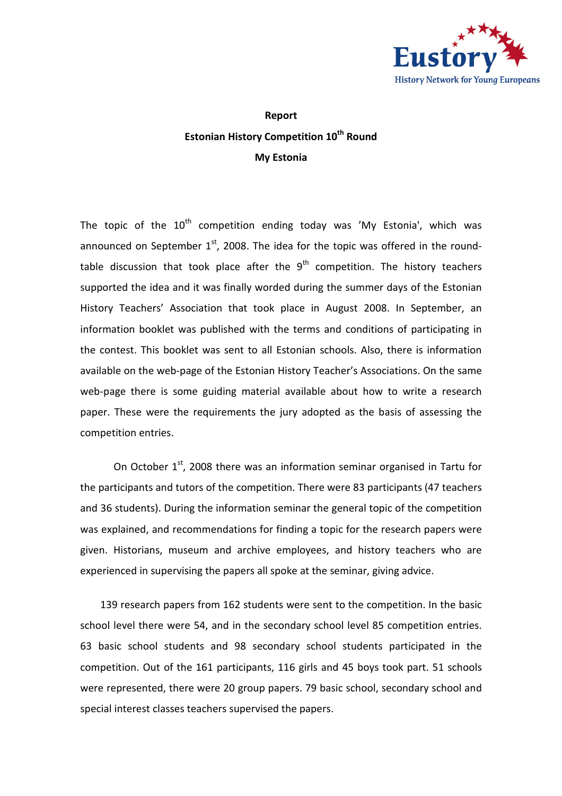

## Report Estonian History Competition 10<sup>th</sup> Round My Estonia

The topic of the  $10^{th}$  competition ending today was 'My Estonia', which was announced on September  $1<sup>st</sup>$ , 2008. The idea for the topic was offered in the roundtable discussion that took place after the  $9<sup>th</sup>$  competition. The history teachers supported the idea and it was finally worded during the summer days of the Estonian History Teachers' Association that took place in August 2008. In September, an information booklet was published with the terms and conditions of participating in the contest. This booklet was sent to all Estonian schools. Also, there is information available on the web-page of the Estonian History Teacher's Associations. On the same web-page there is some guiding material available about how to write a research paper. These were the requirements the jury adopted as the basis of assessing the competition entries.

On October  $1<sup>st</sup>$ , 2008 there was an information seminar organised in Tartu for the participants and tutors of the competition. There were 83 participants (47 teachers and 36 students). During the information seminar the general topic of the competition was explained, and recommendations for finding a topic for the research papers were given. Historians, museum and archive employees, and history teachers who are experienced in supervising the papers all spoke at the seminar, giving advice.

 139 research papers from 162 students were sent to the competition. In the basic school level there were 54, and in the secondary school level 85 competition entries. 63 basic school students and 98 secondary school students participated in the competition. Out of the 161 participants, 116 girls and 45 boys took part. 51 schools were represented, there were 20 group papers. 79 basic school, secondary school and special interest classes teachers supervised the papers.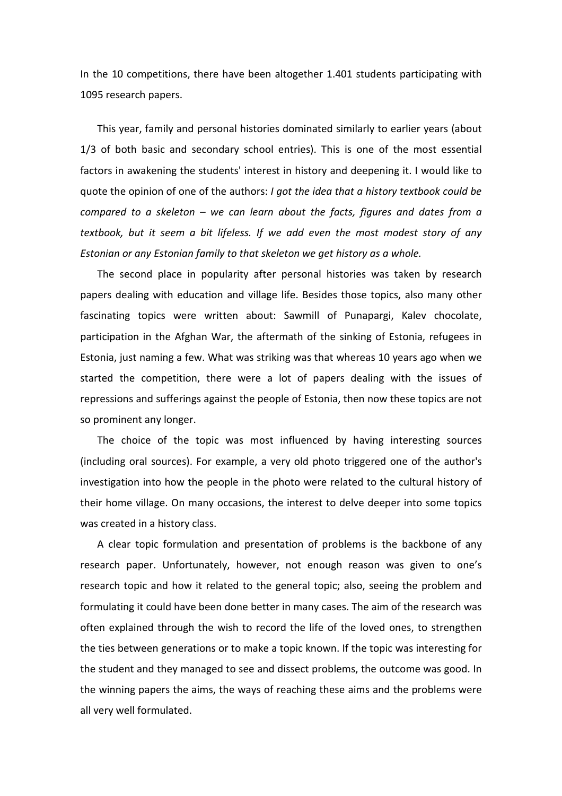In the 10 competitions, there have been altogether 1.401 students participating with 1095 research papers.

This year, family and personal histories dominated similarly to earlier years (about 1/3 of both basic and secondary school entries). This is one of the most essential factors in awakening the students' interest in history and deepening it. I would like to quote the opinion of one of the authors: I got the idea that a history textbook could be compared to a skeleton – we can learn about the facts, figures and dates from a textbook, but it seem a bit lifeless. If we add even the most modest story of any Estonian or any Estonian family to that skeleton we get history as a whole.

The second place in popularity after personal histories was taken by research papers dealing with education and village life. Besides those topics, also many other fascinating topics were written about: Sawmill of Punapargi, Kalev chocolate, participation in the Afghan War, the aftermath of the sinking of Estonia, refugees in Estonia, just naming a few. What was striking was that whereas 10 years ago when we started the competition, there were a lot of papers dealing with the issues of repressions and sufferings against the people of Estonia, then now these topics are not so prominent any longer.

The choice of the topic was most influenced by having interesting sources (including oral sources). For example, a very old photo triggered one of the author's investigation into how the people in the photo were related to the cultural history of their home village. On many occasions, the interest to delve deeper into some topics was created in a history class.

A clear topic formulation and presentation of problems is the backbone of any research paper. Unfortunately, however, not enough reason was given to one's research topic and how it related to the general topic; also, seeing the problem and formulating it could have been done better in many cases. The aim of the research was often explained through the wish to record the life of the loved ones, to strengthen the ties between generations or to make a topic known. If the topic was interesting for the student and they managed to see and dissect problems, the outcome was good. In the winning papers the aims, the ways of reaching these aims and the problems were all very well formulated.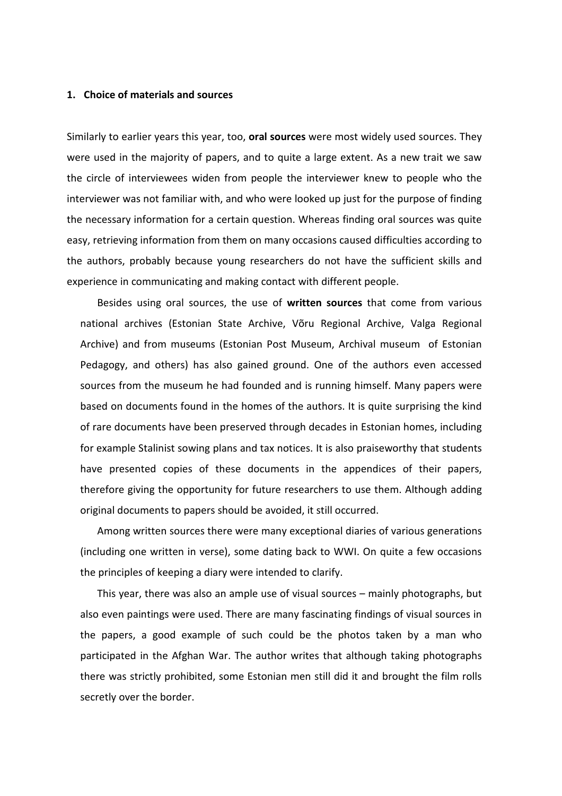## 1. Choice of materials and sources

Similarly to earlier years this year, too, oral sources were most widely used sources. They were used in the majority of papers, and to quite a large extent. As a new trait we saw the circle of interviewees widen from people the interviewer knew to people who the interviewer was not familiar with, and who were looked up just for the purpose of finding the necessary information for a certain question. Whereas finding oral sources was quite easy, retrieving information from them on many occasions caused difficulties according to the authors, probably because young researchers do not have the sufficient skills and experience in communicating and making contact with different people.

Besides using oral sources, the use of written sources that come from various national archives (Estonian State Archive, Võru Regional Archive, Valga Regional Archive) and from museums (Estonian Post Museum, Archival museum of Estonian Pedagogy, and others) has also gained ground. One of the authors even accessed sources from the museum he had founded and is running himself. Many papers were based on documents found in the homes of the authors. It is quite surprising the kind of rare documents have been preserved through decades in Estonian homes, including for example Stalinist sowing plans and tax notices. It is also praiseworthy that students have presented copies of these documents in the appendices of their papers, therefore giving the opportunity for future researchers to use them. Although adding original documents to papers should be avoided, it still occurred.

Among written sources there were many exceptional diaries of various generations (including one written in verse), some dating back to WWI. On quite a few occasions the principles of keeping a diary were intended to clarify.

This year, there was also an ample use of visual sources – mainly photographs, but also even paintings were used. There are many fascinating findings of visual sources in the papers, a good example of such could be the photos taken by a man who participated in the Afghan War. The author writes that although taking photographs there was strictly prohibited, some Estonian men still did it and brought the film rolls secretly over the border.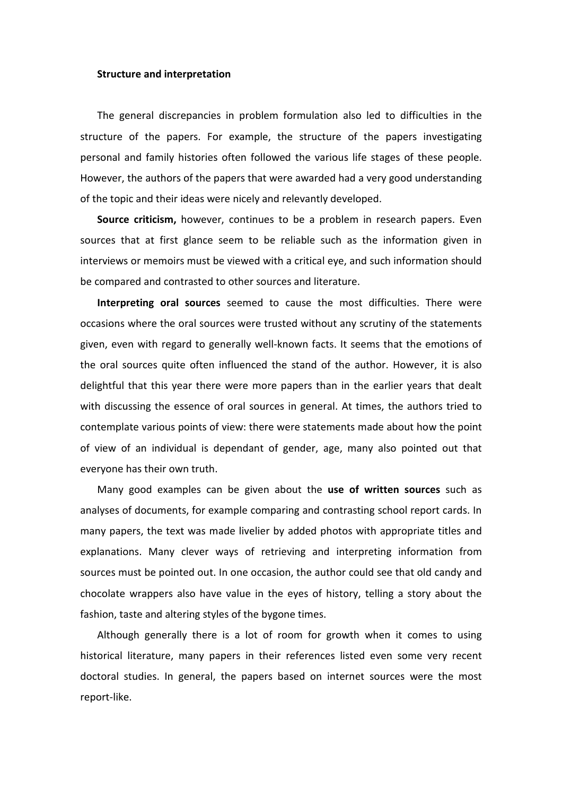## Structure and interpretation

The general discrepancies in problem formulation also led to difficulties in the structure of the papers. For example, the structure of the papers investigating personal and family histories often followed the various life stages of these people. However, the authors of the papers that were awarded had a very good understanding of the topic and their ideas were nicely and relevantly developed.

Source criticism, however, continues to be a problem in research papers. Even sources that at first glance seem to be reliable such as the information given in interviews or memoirs must be viewed with a critical eye, and such information should be compared and contrasted to other sources and literature.

Interpreting oral sources seemed to cause the most difficulties. There were occasions where the oral sources were trusted without any scrutiny of the statements given, even with regard to generally well-known facts. It seems that the emotions of the oral sources quite often influenced the stand of the author. However, it is also delightful that this year there were more papers than in the earlier years that dealt with discussing the essence of oral sources in general. At times, the authors tried to contemplate various points of view: there were statements made about how the point of view of an individual is dependant of gender, age, many also pointed out that everyone has their own truth.

Many good examples can be given about the use of written sources such as analyses of documents, for example comparing and contrasting school report cards. In many papers, the text was made livelier by added photos with appropriate titles and explanations. Many clever ways of retrieving and interpreting information from sources must be pointed out. In one occasion, the author could see that old candy and chocolate wrappers also have value in the eyes of history, telling a story about the fashion, taste and altering styles of the bygone times.

Although generally there is a lot of room for growth when it comes to using historical literature, many papers in their references listed even some very recent doctoral studies. In general, the papers based on internet sources were the most report-like.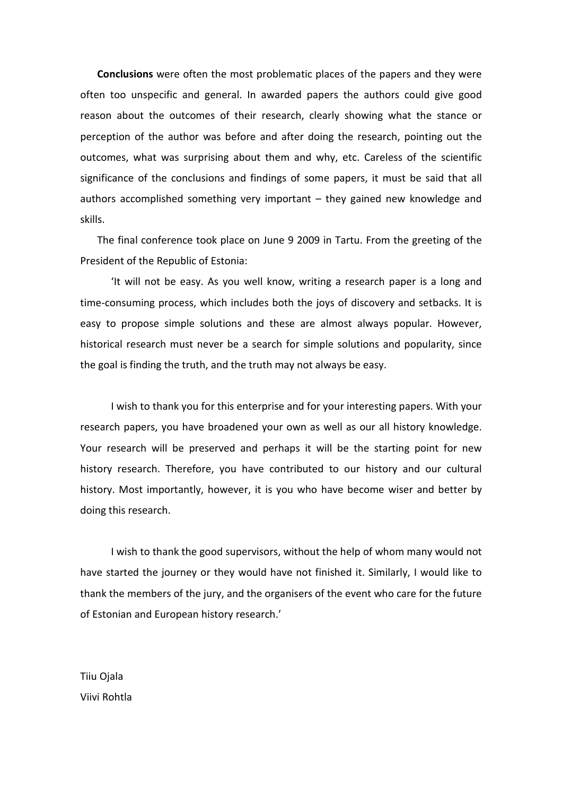Conclusions were often the most problematic places of the papers and they were often too unspecific and general. In awarded papers the authors could give good reason about the outcomes of their research, clearly showing what the stance or perception of the author was before and after doing the research, pointing out the outcomes, what was surprising about them and why, etc. Careless of the scientific significance of the conclusions and findings of some papers, it must be said that all authors accomplished something very important – they gained new knowledge and skills.

The final conference took place on June 9 2009 in Tartu. From the greeting of the President of the Republic of Estonia:

 'It will not be easy. As you well know, writing a research paper is a long and time-consuming process, which includes both the joys of discovery and setbacks. It is easy to propose simple solutions and these are almost always popular. However, historical research must never be a search for simple solutions and popularity, since the goal is finding the truth, and the truth may not always be easy.

 I wish to thank you for this enterprise and for your interesting papers. With your research papers, you have broadened your own as well as our all history knowledge. Your research will be preserved and perhaps it will be the starting point for new history research. Therefore, you have contributed to our history and our cultural history. Most importantly, however, it is you who have become wiser and better by doing this research.

 I wish to thank the good supervisors, without the help of whom many would not have started the journey or they would have not finished it. Similarly, I would like to thank the members of the jury, and the organisers of the event who care for the future of Estonian and European history research.'

Tiiu Ojala Viivi Rohtla